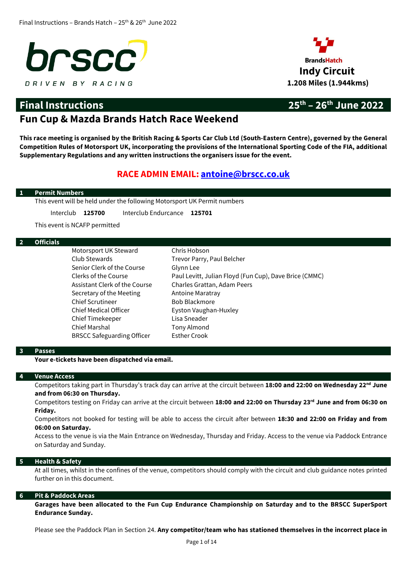



# **Final Instructions 25th – 26th June 2022**

# **Fun Cup & Mazda Brands Hatch Race Weekend**

**This race meeting is organised by the British Racing & Sports Car Club Ltd (South-Eastern Centre), governed by the General Competition Rules of Motorsport UK, incorporating the provisions of the International Sporting Code of the FIA, additional Supplementary Regulations and any written instructions the organisers issue for the event.** 

# **RACE ADMIN EMAIL: [antoine@brscc.co.uk](mailto:antoine@brscc.co.uk)**

### **1 Permit Numbers**

This event will be held under the following Motorsport UK Permit numbers

Interclub **125700** Interclub Endurcance **125701**

This event is NCAFP permitted

### **2 Officials**

Motorsport UK Steward Chris Hobson Club Stewards Trevor Parry, Paul Belcher Senior Clerk of the Course Glynn Lee Assistant Clerk of the Course Charles Grattan, Adam Peers Secretary of the Meeting **Antoine Maratray** Chief Scrutineer Bob Blackmore Chief Medical Officer **Eyston Vaughan-Huxley** Chief Timekeeper Lisa Sneader Chief Marshal Tony Almond BRSCC Safeguarding Officer Esther Crook

Clerks of the Course Paul Levitt, Julian Floyd (Fun Cup), Dave Brice (CMMC)

### **3 Passes**

**Your e-tickets have been dispatched via email.**

### **4 Venue Access**

Competitors taking part in Thursday's track day can arrive at the circuit between **18:00 and 22:00 on Wednesday 22 nd June and from 06:30 on Thursday.**

Competitors testing on Friday can arrive at the circuit between **18:00 and 22:00 on Thursday 23rd June and from 06:30 on Friday.**

Competitors not booked for testing will be able to access the circuit after between **18:30 and 22:00 on Friday and from 06:00 on Saturday.**

Access to the venue is via the Main Entrance on Wednesday, Thursday and Friday. Access to the venue via Paddock Entrance on Saturday and Sunday.

### **5 Health & Safety**

At all times, whilst in the confines of the venue, competitors should comply with the circuit and club guidance notes printed further on in this document.

### **6 Pit & Paddock Areas**

**Garages have been allocated to the Fun Cup Endurance Championship on Saturday and to the BRSCC SuperSport Endurance Sunday.**

Please see the Paddock Plan in Section 24. **Any competitor/team who has stationed themselves in the incorrect place in**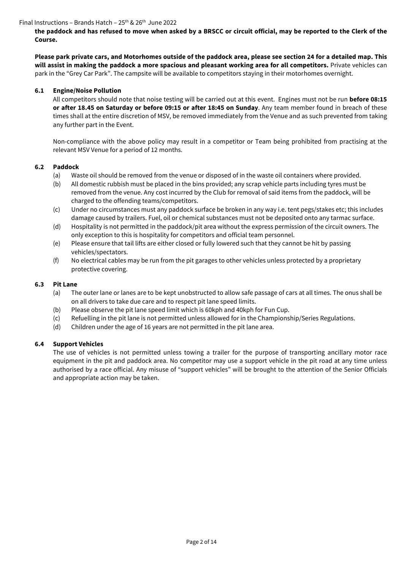**the paddock and has refused to move when asked by a BRSCC or circuit official, may be reported to the Clerk of the Course.** 

**Please park private cars, and Motorhomes outside of the paddock area, please see section 24 for a detailed map. This will assist in making the paddock a more spacious and pleasant working area for all competitors.** Private vehicles can park in the "Grey Car Park". The campsite will be available to competitors staying in their motorhomes overnight.

### **6.1 Engine/Noise Pollution**

All competitors should note that noise testing will be carried out at this event. Engines must not be run **before 08:15 or after 18.45 on Saturday or before 09:15 or after 18:45 on Sunday**. Any team member found in breach of these times shall at the entire discretion of MSV, be removed immediately from the Venue and as such prevented from taking any further part in the Event.

Non-compliance with the above policy may result in a competitor or Team being prohibited from practising at the relevant MSV Venue for a period of 12 months.

### **6.2 Paddock**

- (a) Waste oil should be removed from the venue or disposed of in the waste oil containers where provided.
- (b) All domestic rubbish must be placed in the bins provided; any scrap vehicle parts including tyres must be removed from the venue. Any cost incurred by the Club for removal of said items from the paddock, will be charged to the offending teams/competitors.
- (c) Under no circumstances must any paddock surface be broken in any way i.e. tent pegs/stakes etc; this includes damage caused by trailers. Fuel, oil or chemical substances must not be deposited onto any tarmac surface.
- (d) Hospitality is not permitted in the paddock/pit area without the express permission of the circuit owners. The only exception to this is hospitality for competitors and official team personnel.
- (e) Please ensure that tail lifts are either closed or fully lowered such that they cannot be hit by passing vehicles/spectators.
- (f) No electrical cables may be run from the pit garages to other vehicles unless protected by a proprietary protective covering.

### **6.3 Pit Lane**

- (a) The outer lane or lanes are to be kept unobstructed to allow safe passage of cars at all times. The onus shall be on all drivers to take due care and to respect pit lane speed limits.
- (b) Please observe the pit lane speed limit which is 60kph and 40kph for Fun Cup.
- (c) Refuelling in the pit lane is not permitted unless allowed for in the Championship/Series Regulations.
- (d) Children under the age of 16 years are not permitted in the pit lane area.

### **6.4 Support Vehicles**

The use of vehicles is not permitted unless towing a trailer for the purpose of transporting ancillary motor race equipment in the pit and paddock area. No competitor may use a support vehicle in the pit road at any time unless authorised by a race official. Any misuse of "support vehicles" will be brought to the attention of the Senior Officials and appropriate action may be taken.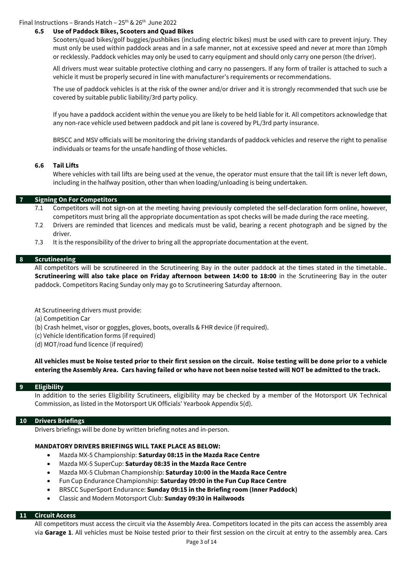#### **6.5 Use of Paddock Bikes, Scooters and Quad Bikes**

Scooters/quad bikes/golf buggies/pushbikes (including electric bikes) must be used with care to prevent injury. They must only be used within paddock areas and in a safe manner, not at excessive speed and never at more than 10mph or recklessly. Paddock vehicles may only be used to carry equipment and should only carry one person (the driver).

All drivers must wear suitable protective clothing and carry no passengers. If any form of trailer is attached to such a vehicle it must be properly secured in line with manufacturer's requirements or recommendations.

The use of paddock vehicles is at the risk of the owner and/or driver and it is strongly recommended that such use be covered by suitable public liability/3rd party policy.

If you have a paddock accident within the venue you are likely to be held liable for it. All competitors acknowledge that any non-race vehicle used between paddock and pit lane is covered by PL/3rd party insurance.

BRSCC and MSV officials will be monitoring the driving standards of paddock vehicles and reserve the right to penalise individuals or teams for the unsafe handling of those vehicles.

#### **6.6 Tail Lifts**

Where vehicles with tail lifts are being used at the venue, the operator must ensure that the tail lift is never left down, including in the halfway position, other than when loading/unloading is being undertaken.

### **7 Signing On For Competitors**

- 7.1 Competitors will not sign-on at the meeting having previously completed the self-declaration form online, however, competitors must bring all the appropriate documentation as spot checks will be made during the race meeting.
- 7.2 Drivers are reminded that licences and medicals must be valid, bearing a recent photograph and be signed by the driver.
- 7.3 It is the responsibility of the driver to bring all the appropriate documentation at the event.

### **8 Scrutineering**

All competitors will be scrutineered in the Scrutineering Bay in the outer paddock at the times stated in the timetable.. **Scrutineering will also take place on Friday afternoon between 14:00 to 18:00** in the Scrutineering Bay in the outer paddock. Competitors Racing Sunday only may go to Scrutineering Saturday afternoon.

At Scrutineering drivers must provide:

(a) Competition Car

- (b) Crash helmet, visor or goggles, gloves, boots, overalls & FHR device (if required).
- (c) Vehicle Identification forms (if required)
- (d) MOT/road fund licence (if required)

**All vehicles must be Noise tested prior to their first session on the circuit. Noise testing will be done prior to a vehicle entering the Assembly Area. Cars having failed or who have not been noise tested will NOT be admitted to the track.**

### **9 Eligibility**

In addition to the series Eligibility Scrutineers, eligibility may be checked by a member of the Motorsport UK Technical Commission, as listed in the Motorsport UK Officials' Yearbook Appendix 5(d).

### **10 Drivers Briefings**

Drivers briefings will be done by written briefing notes and in-person.

### **MANDATORY DRIVERS BRIEFINGS WILL TAKE PLACE AS BELOW:**

- Mazda MX-5 Championship: **Saturday 08:15 in the Mazda Race Centre**
- Mazda MX-5 SuperCup: **Saturday 08:35 in the Mazda Race Centre**
- Mazda MX-5 Clubman Championship: **Saturday 10:00 in the Mazda Race Centre**
- Fun Cup Endurance Championship: **Saturday 09:00 in the Fun Cup Race Centre**
- BRSCC SuperSport Endurance: **Sunday 09:15 in the Briefing room (Inner Paddock)**
- Classic and Modern Motorsport Club: **Sunday 09:30 in Hailwoods**

#### **11 Circuit Access**

All competitors must access the circuit via the Assembly Area. Competitors located in the pits can access the assembly area via **Garage 1**. All vehicles must be Noise tested prior to their first session on the circuit at entry to the assembly area. Cars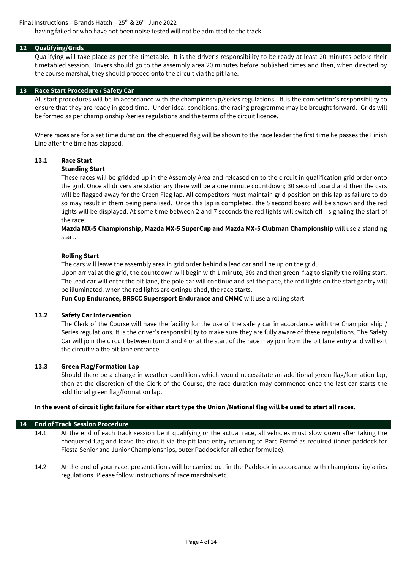having failed or who have not been noise tested will not be admitted to the track.

### **12 Qualifying/Grids**

Qualifying will take place as per the timetable. It is the driver's responsibility to be ready at least 20 minutes before their timetabled session. Drivers should go to the assembly area 20 minutes before published times and then, when directed by the course marshal, they should proceed onto the circuit via the pit lane.

### **13 Race Start Procedure / Safety Car**

All start procedures will be in accordance with the championship/series regulations. It is the competitor's responsibility to ensure that they are ready in good time. Under ideal conditions, the racing programme may be brought forward. Grids will be formed as per championship /series regulations and the terms of the circuit licence.

Where races are for a set time duration, the chequered flag will be shown to the race leader the first time he passes the Finish Line after the time has elapsed.

## **13.1 Race Start**

### **Standing Start**

These races will be gridded up in the Assembly Area and released on to the circuit in qualification grid order onto the grid. Once all drivers are stationary there will be a one minute countdown; 30 second board and then the cars will be flagged away for the Green Flag lap. All competitors must maintain grid position on this lap as failure to do so may result in them being penalised. Once this lap is completed, the 5 second board will be shown and the red lights will be displayed. At some time between 2 and 7 seconds the red lights will switch off - signaling the start of the race.

**Mazda MX-5 Championship, Mazda MX-5 SuperCup and Mazda MX-5 Clubman Championship** will use a standing start.

### **Rolling Start**

The cars will leave the assembly area in grid order behind a lead car and line up on the grid.

Upon arrival at the grid, the countdown will begin with 1 minute, 30s and then green flag to signify the rolling start. The lead car will enter the pit lane, the pole car will continue and set the pace, the red lights on the start gantry will be illuminated, when the red lights are extinguished, the race starts.

**Fun Cup Endurance, BRSCC Supersport Endurance and CMMC** will use a rolling start.

### **13.2 Safety Car Intervention**

The Clerk of the Course will have the facility for the use of the safety car in accordance with the Championship / Series regulations. It is the driver's responsibility to make sure they are fully aware of these regulations. The Safety Car will join the circuit between turn 3 and 4 or at the start of the race may join from the pit lane entry and will exit the circuit via the pit lane entrance.

### **13.3 Green Flag/Formation Lap**

Should there be a change in weather conditions which would necessitate an additional green flag/formation lap, then at the discretion of the Clerk of the Course, the race duration may commence once the last car starts the additional green flag/formation lap.

### **In the event of circuit light failure for either start type the Union /National flag will be used to start all races**.

### **14 End of Track Session Procedure**

14.1 At the end of each track session be it qualifying or the actual race, all vehicles must slow down after taking the chequered flag and leave the circuit via the pit lane entry returning to Parc Fermé as required (inner paddock for Fiesta Senior and Junior Championships, outer Paddock for all other formulae).

14.2 At the end of your race, presentations will be carried out in the Paddock in accordance with championship/series regulations. Please follow instructions of race marshals etc.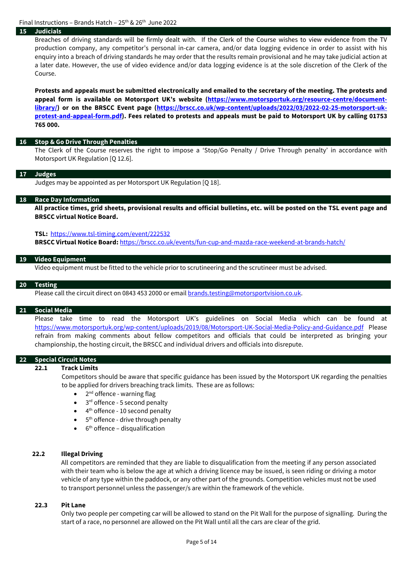### **15 Judicials**

Breaches of driving standards will be firmly dealt with. If the Clerk of the Course wishes to view evidence from the TV production company, any competitor's personal in-car camera, and/or data logging evidence in order to assist with his enquiry into a breach of driving standards he may order that the results remain provisional and he may take judicial action at a later date. However, the use of video evidence and/or data logging evidence is at the sole discretion of the Clerk of the Course.

**Protests and appeals must be submitted electronically and emailed to the secretary of the meeting. The protests and appeal form is available on Motorsport UK's website [\(https://www.motorsportuk.org/resource-centre/document](https://www.motorsportuk.org/resource-centre/document-library/)[library/\)](https://www.motorsportuk.org/resource-centre/document-library/) or on the BRSCC Event page [\(https://brscc.co.uk/wp-content/uploads/2022/03/2022-02-25-motorsport-uk](https://brscc.co.uk/wp-content/uploads/2022/03/2022-02-25-motorsport-uk-protest-and-appeal-form.pdf)[protest-and-appeal-form.pdf\)](https://brscc.co.uk/wp-content/uploads/2022/03/2022-02-25-motorsport-uk-protest-and-appeal-form.pdf). Fees related to protests and appeals must be paid to Motorsport UK by calling 01753 765 000.** 

#### **16 Stop & Go Drive Through Penalties**

The Clerk of the Course reserves the right to impose a 'Stop/Go Penalty / Drive Through penalty' in accordance with Motorsport UK Regulation [Q 12.6].

#### **17 Judges**

Judges may be appointed as per Motorsport UK Regulation [Q 18].

#### **18 Race Day Information**

**All practice times, grid sheets, provisional results and official bulletins, etc. will be posted on the TSL event page and BRSCC virtual Notice Board.**

#### **TSL:** <https://www.tsl-timing.com/event/222532>

**BRSCC Virtual Notice Board:** <https://brscc.co.uk/events/fun-cup-and-mazda-race-weekend-at-brands-hatch/>

#### **19 Video Equipment**

Video equipment must be fitted to the vehicle prior to scrutineering and the scrutineer must be advised.

#### **20 Testing**

Please call the circuit direct on 0843 453 2000 or email [brands.testing@motorsportvision.co.uk.](mailto:brands.testing@motorsportvision.co.uk)

#### **21 Social Media**

Please take time to read the Motorsport UK's guidelines on Social Media which can be found at <https://www.motorsportuk.org/wp-content/uploads/2019/08/Motorsport-UK-Social-Media-Policy-and-Guidance.pdf> Please refrain from making comments about fellow competitors and officials that could be interpreted as bringing your championship, the hosting circuit, the BRSCC and individual drivers and officials into disrepute.

### **22 Special Circuit Notes**

#### **22.1 Track Limits**

Competitors should be aware that specific guidance has been issued by the Motorsport UK regarding the penalties to be applied for drivers breaching track limits. These are as follows:

- 2<sup>nd</sup> offence warning flag
- 3<sup>rd</sup> offence 5 second penalty
- 4<sup>th</sup> offence 10 second penalty
- 5<sup>th</sup> offence drive through penalty
- $\bullet$  6<sup>th</sup> offence disqualification

#### **22.2 Illegal Driving**

All competitors are reminded that they are liable to disqualification from the meeting if any person associated with their team who is below the age at which a driving licence may be issued, is seen riding or driving a motor vehicle of any type within the paddock, or any other part of the grounds. Competition vehicles must not be used to transport personnel unless the passenger/s are within the framework of the vehicle.

#### **22.3 Pit Lane**

Only two people per competing car will be allowed to stand on the Pit Wall for the purpose of signalling. During the start of a race, no personnel are allowed on the Pit Wall until all the cars are clear of the grid.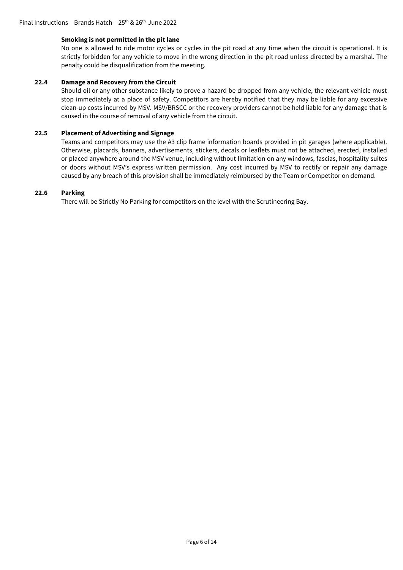### **Smoking is not permitted in the pit lane**

No one is allowed to ride motor cycles or cycles in the pit road at any time when the circuit is operational. It is strictly forbidden for any vehicle to move in the wrong direction in the pit road unless directed by a marshal. The penalty could be disqualification from the meeting.

### **22.4 Damage and Recovery from the Circuit**

Should oil or any other substance likely to prove a hazard be dropped from any vehicle, the relevant vehicle must stop immediately at a place of safety. Competitors are hereby notified that they may be liable for any excessive clean-up costs incurred by MSV. MSV/BRSCC or the recovery providers cannot be held liable for any damage that is caused in the course of removal of any vehicle from the circuit.

### **22.5 Placement of Advertising and Signage**

Teams and competitors may use the A3 clip frame information boards provided in pit garages (where applicable). Otherwise, placards, banners, advertisements, stickers, decals or leaflets must not be attached, erected, installed or placed anywhere around the MSV venue, including without limitation on any windows, fascias, hospitality suites or doors without MSV's express written permission. Any cost incurred by MSV to rectify or repair any damage caused by any breach of this provision shall be immediately reimbursed by the Team or Competitor on demand.

### **22.6 Parking**

There will be Strictly No Parking for competitors on the level with the Scrutineering Bay.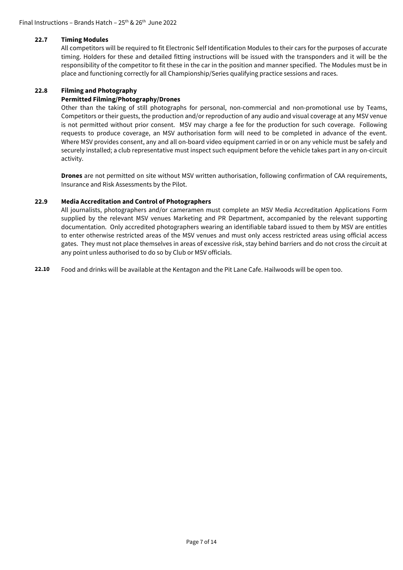#### **22.7 Timing Modules**

All competitors will be required to fit Electronic Self Identification Modules to their cars for the purposes of accurate timing. Holders for these and detailed fitting instructions will be issued with the transponders and it will be the responsibility of the competitor to fit these in the car in the position and manner specified. The Modules must be in place and functioning correctly for all Championship/Series qualifying practice sessions and races.

#### **22.8 Filming and Photography**

### **Permitted Filming/Photography/Drones**

Other than the taking of still photographs for personal, non-commercial and non-promotional use by Teams, Competitors or their guests, the production and/or reproduction of any audio and visual coverage at any MSV venue is not permitted without prior consent. MSV may charge a fee for the production for such coverage. Following requests to produce coverage, an MSV authorisation form will need to be completed in advance of the event. Where MSV provides consent, any and all on-board video equipment carried in or on any vehicle must be safely and securely installed; a club representative must inspect such equipment before the vehicle takes part in any on-circuit activity.

**Drones** are not permitted on site without MSV written authorisation, following confirmation of CAA requirements, Insurance and Risk Assessments by the Pilot.

#### **22.9 Media Accreditation and Control of Photographers**

All journalists, photographers and/or cameramen must complete an MSV Media Accreditation Applications Form supplied by the relevant MSV venues Marketing and PR Department, accompanied by the relevant supporting documentation. Only accredited photographers wearing an identifiable tabard issued to them by MSV are entitles to enter otherwise restricted areas of the MSV venues and must only access restricted areas using official access gates. They must not place themselves in areas of excessive risk, stay behind barriers and do not cross the circuit at any point unless authorised to do so by Club or MSV officials.

**22.10** Food and drinks will be available at the Kentagon and the Pit Lane Cafe. Hailwoods will be open too.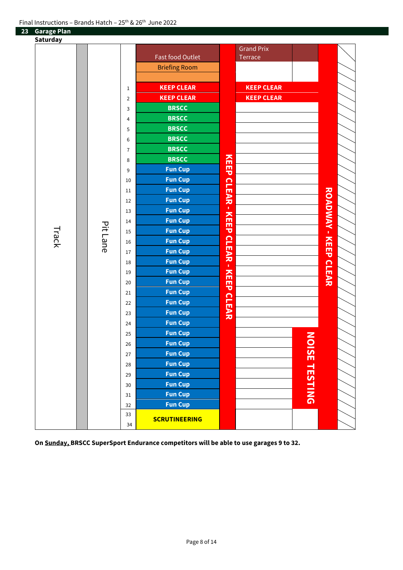# **Garage Plan**

| Saturday |          |                |                         |               |                   |                      |                      |  |
|----------|----------|----------------|-------------------------|---------------|-------------------|----------------------|----------------------|--|
|          |          |                |                         |               | <b>Grand Prix</b> |                      |                      |  |
| Track    |          |                | <b>Fast food Outlet</b> |               | Terrace           |                      |                      |  |
|          |          |                | <b>Briefing Room</b>    |               |                   |                      |                      |  |
|          |          |                |                         |               |                   |                      |                      |  |
|          | Pit Lane | $1\,$          | <b>KEEP CLEAR</b>       |               | <b>KEEP CLEAR</b> |                      |                      |  |
|          |          | $\overline{2}$ | <b>KEEP CLEAR</b>       |               | <b>KEEP CLEAR</b> |                      |                      |  |
|          |          | $\mathsf{3}$   | <b>BRSCC</b>            |               |                   |                      |                      |  |
|          |          | $\overline{4}$ | <b>BRSCC</b>            |               |                   |                      |                      |  |
|          |          | 5              | <b>BRSCC</b>            |               |                   |                      |                      |  |
|          |          | 6              | <b>BRSCC</b>            |               |                   |                      |                      |  |
|          |          | $\overline{7}$ | <b>BRSCC</b>            |               |                   |                      |                      |  |
|          |          | 8              | <b>BRSCC</b>            |               |                   |                      |                      |  |
|          |          | 9              | <b>Fun Cup</b>          | KEEP          |                   |                      |                      |  |
|          |          | 10             | <b>Fun Cup</b>          |               |                   |                      |                      |  |
|          |          | 11             | <b>Fun Cup</b>          |               |                   |                      |                      |  |
|          |          | 12             | <b>Fun Cup</b>          | <b>CLEAR-</b> |                   |                      |                      |  |
|          |          | 13             | <b>Fun Cup</b>          |               |                   |                      | ROADMAN - KEEP CLEAR |  |
|          |          | 14             | <b>Fun Cup</b>          | <b>KEEP</b>   |                   |                      |                      |  |
|          |          | 15             | <b>Fun Cup</b>          |               |                   |                      |                      |  |
|          |          | 16             | <b>Fun Cup</b>          | <b>CLEAR</b>  |                   |                      |                      |  |
|          |          | 17             | <b>Fun Cup</b>          |               |                   |                      |                      |  |
|          |          | 18             | <b>Fun Cup</b>          | $\mathbf{r}$  |                   |                      |                      |  |
|          |          | 19             | <b>Fun Cup</b>          |               |                   |                      |                      |  |
|          |          | $20\,$         | <b>Fun Cup</b>          | <b>KEEP</b>   |                   |                      |                      |  |
|          |          | 21             | <b>Fun Cup</b>          |               |                   |                      |                      |  |
|          |          | 22             | <b>Fun Cup</b>          |               |                   |                      |                      |  |
|          |          | 23             | <b>Fun Cup</b>          | <b>CLEAR</b>  |                   |                      |                      |  |
|          |          | 24             | <b>Fun Cup</b>          |               |                   |                      |                      |  |
|          |          | 25             | <b>Fun Cup</b>          |               |                   |                      |                      |  |
|          |          | 26             | <b>Fun Cup</b>          |               |                   |                      |                      |  |
|          |          | 27             | <b>Fun Cup</b>          |               |                   |                      |                      |  |
|          |          | 28             | <b>Fun Cup</b>          |               |                   |                      |                      |  |
|          |          | 29             | <b>Fun Cup</b>          |               |                   |                      |                      |  |
|          |          | $30\,$         | <b>Fun Cup</b>          |               |                   | <b>NOISE TESTING</b> |                      |  |
|          |          | 31             | <b>Fun Cup</b>          |               |                   |                      |                      |  |
|          |          | 32             | <b>Fun Cup</b>          |               |                   |                      |                      |  |
|          |          | 33             | <b>SCRUTINEERING</b>    |               |                   |                      |                      |  |
|          |          | 34             |                         |               |                   |                      |                      |  |

**On Sunday, BRSCC SuperSport Endurance competitors will be able to use garages 9 to 32.**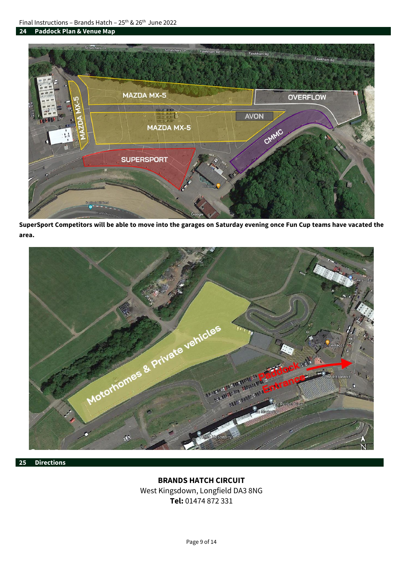

**SuperSport Competitors will be able to move into the garages on Saturday evening once Fun Cup teams have vacated the area.**



### **25 Directions**

# **BRANDS HATCH CIRCUIT**

West Kingsdown, Longfield DA3 8NG **Tel:** 01474 872 331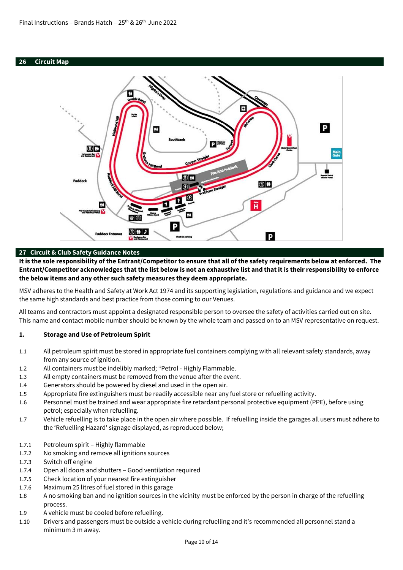### **26 Circuit Map**



### **27 Circuit & Club Safety Guidance Notes**

**It is the sole responsibility of the Entrant/Competitor to ensure that all of the safety requirements below at enforced. The Entrant/Competitor acknowledges that the list below is not an exhaustive list and that it is their responsibility to enforce the below items and any other such safety measures they deem appropriate.**

MSV adheres to the Health and Safety at Work Act 1974 and its supporting legislation, regulations and guidance and we expect the same high standards and best practice from those coming to our Venues.

All teams and contractors must appoint a designated responsible person to oversee the safety of activities carried out on site. This name and contact mobile number should be known by the whole team and passed on to an MSV representative on request.

### **1. Storage and Use of Petroleum Spirit**

- 1.1 All petroleum spirit must be stored in appropriate fuel containers complying with all relevant safety standards, away from any source of ignition.
- 1.2 All containers must be indelibly marked; "Petrol Highly Flammable.
- 1.3 All empty containers must be removed from the venue after the event.
- 1.4 Generators should be powered by diesel and used in the open air.
- 1.5 Appropriate fire extinguishers must be readily accessible near any fuel store or refuelling activity.
- 1.6 Personnel must be trained and wear appropriate fire retardant personal protective equipment (PPE), before using petrol; especially when refuelling.
- 1.7 Vehicle refuelling is to take place in the open air where possible. If refuelling inside the garages all users must adhere to the 'Refuelling Hazard' signage displayed, as reproduced below;
- 1.7.1 Petroleum spirit Highly flammable
- 1.7.2 No smoking and remove all ignitions sources
- 1.7.3 Switch off engine
- 1.7.4 Open all doors and shutters Good ventilation required
- 1.7.5 Check location of your nearest fire extinguisher
- 1.7.6 Maximum 25 litres of fuel stored in this garage
- 1.8 A no smoking ban and no ignition sources in the vicinity must be enforced by the person in charge of the refuelling process.
- 1.9 A vehicle must be cooled before refuelling.
- 1.10 Drivers and passengers must be outside a vehicle during refuelling and it's recommended all personnel stand a minimum 3 m away.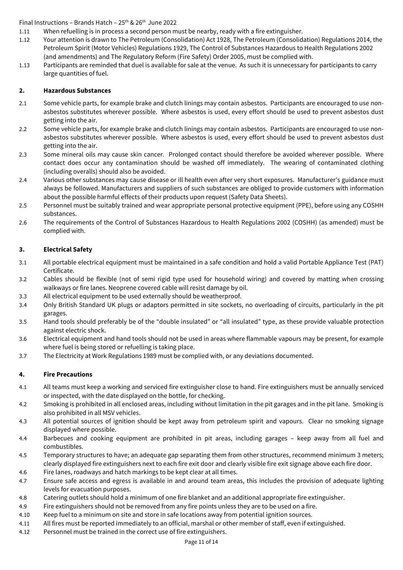- 1.11 When refuelling is in process a second person must be nearby, ready with a fire extinguisher.
- 1.12 Your attention is drawn to The Petroleum (Consolidation) Act 1928, The Petroleum (Consolidation) Regulations 2014, the Petroleum Spirit (Motor Vehicles) Regulations 1929, The Control of Substances Hazardous to Health Regulations 2002 (and amendments) and The Regulatory Reform (Fire Safety) Order 2005, must be complied with.
- 1.13 Participants are reminded that duel is available for sale at the venue. As such it is unnecessary for participants to carry large quantities of fuel.

### **2. Hazardous Substances**

- 2.1 Some vehicle parts, for example brake and clutch linings may contain asbestos. Participants are encouraged to use nonasbestos substitutes wherever possible. Where asbestos is used, every effort should be used to prevent asbestos dust getting into the air.
- 2.2 Some vehicle parts, for example brake and clutch linings may contain asbestos. Participants are encouraged to use nonasbestos substitutes wherever possible. Where asbestos is used, every effort should be used to prevent asbestos dust getting into the air.
- 2.3 Some mineral oils may cause skin cancer. Prolonged contact should therefore be avoided wherever possible. Where contact does occur any contamination should be washed off immediately. The wearing of contaminated clothing (including overalls) should also be avoided.
- 2.4 Various other substances may cause disease or ill health even after very short exposures. Manufacturer's guidance must always be followed. Manufacturers and suppliers of such substances are obliged to provide customers with information about the possible harmful effects of their products upon request (Safety Data Sheets).
- 2.5 Personnel must be suitably trained and wear appropriate personal protective equipment (PPE), before using any COSHH substances.
- 2.6 The requirements of the Control of Substances Hazardous to Health Regulations 2002 (COSHH) (as amended) must be complied with.

## **3. Electrical Safety**

- 3.1 All portable electrical equipment must be maintained in a safe condition and hold a valid Portable Appliance Test (PAT) Certificate.
- 3.2 Cables should be flexible (not of semi rigid type used for household wiring) and covered by matting when crossing walkways or fire lanes. Neoprene covered cable will resist damage by oil.
- 3.3 All electrical equipment to be used externally should be weatherproof.
- 3.4 Only British Standard UK plugs or adaptors permitted in site sockets, no overloading of circuits, particularly in the pit garages.
- 3.5 Hand tools should preferably be of the "double insulated" or "all insulated" type, as these provide valuable protection against electric shock.
- 3.6 Electrical equipment and hand tools should not be used in areas where flammable vapours may be present, for example where fuel is being stored or refuelling is taking place.
- 3.7 The Electricity at Work Regulations 1989 must be complied with, or any deviations documented.

## **4. Fire Precautions**

- 4.1 All teams must keep a working and serviced fire extinguisher close to hand. Fire extinguishers must be annually serviced or inspected, with the date displayed on the bottle, for checking.
- 4.2 Smoking is prohibited in all enclosed areas, including without limitation in the pit garages and in the pit lane. Smoking is also prohibited in all MSV vehicles.
- 4.3 All potential sources of ignition should be kept away from petroleum spirit and vapours. Clear no smoking signage displayed where possible.
- 4.4 Barbecues and cooking equipment are prohibited in pit areas, including garages keep away from all fuel and combustibles.
- 4.5 Temporary structures to have; an adequate gap separating them from other structures, recommend minimum 3 meters; clearly displayed fire extinguishers next to each fire exit door and clearly visible fire exit signage above each fire door.
- 4.6 Fire lanes, roadways and hatch markings to be kept clear at all times.
- 4.7 Ensure safe access and egress is available in and around team areas, this includes the provision of adequate lighting levels for evacuation purposes.
- 4.8 Catering outlets should hold a minimum of one fire blanket and an additional appropriate fire extinguisher.
- 4.9 Fire extinguishers should not be removed from any fire points unless they are to be used on a fire.
- 4.10 Keep fuel to a minimum on site and store in safe locations away from potential ignition sources.
- 4.11 All fires must be reported immediately to an official, marshal or other member of staff, even if extinguished.
- 4.12 Personnel must be trained in the correct use of fire extinguishers.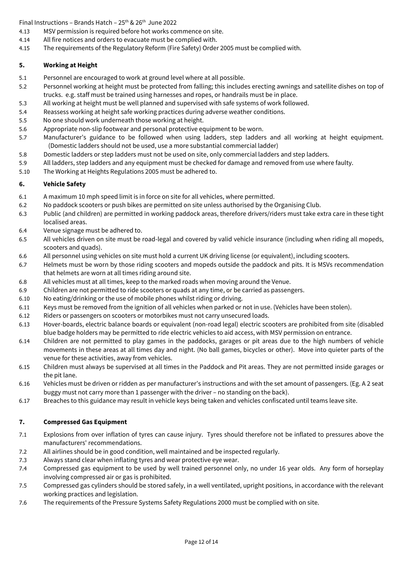- 4.13 MSV permission is required before hot works commence on site.
- 4.14 All fire notices and orders to evacuate must be complied with.
- 4.15 The requirements of the Regulatory Reform (Fire Safety) Order 2005 must be complied with.

## **5. Working at Height**

- 5.1 Personnel are encouraged to work at ground level where at all possible.
- 5.2 Personnel working at height must be protected from falling; this includes erecting awnings and satellite dishes on top of trucks. e.g. staff must be trained using harnesses and ropes, or handrails must be in place.
- 5.3 All working at height must be well planned and supervised with safe systems of work followed.
- 5.4 Reassess working at height safe working practices during adverse weather conditions.
- 5.5 No one should work underneath those working at height.
- 5.6 Appropriate non-slip footwear and personal protective equipment to be worn.
- 5.7 Manufacturer's guidance to be followed when using ladders, step ladders and all working at height equipment. (Domestic ladders should not be used, use a more substantial commercial ladder)
- 5.8 Domestic ladders or step ladders must not be used on site, only commercial ladders and step ladders.
- 5.9 All ladders, step ladders and any equipment must be checked for damage and removed from use where faulty.
- 5.10 The Working at Heights Regulations 2005 must be adhered to.

## **6. Vehicle Safety**

- 6.1 A maximum 10 mph speed limit is in force on site for all vehicles, where permitted.
- 6.2 No paddock scooters or push bikes are permitted on site unless authorised by the Organising Club.
- 6.3 Public (and children) are permitted in working paddock areas, therefore drivers/riders must take extra care in these tight localised areas.
- 6.4 Venue signage must be adhered to.
- 6.5 All vehicles driven on site must be road-legal and covered by valid vehicle insurance (including when riding all mopeds, scooters and quads).
- 6.6 All personnel using vehicles on site must hold a current UK driving license (or equivalent), including scooters.
- 6.7 Helmets must be worn by those riding scooters and mopeds outside the paddock and pits. It is MSVs recommendation that helmets are worn at all times riding around site.
- 6.8 All vehicles must at all times, keep to the marked roads when moving around the Venue.
- 6.9 Children are not permitted to ride scooters or quads at any time, or be carried as passengers.
- 6.10 No eating/drinking or the use of mobile phones whilst riding or driving.
- 6.11 Keys must be removed from the ignition of all vehicles when parked or not in use. (Vehicles have been stolen).
- 6.12 Riders or passengers on scooters or motorbikes must not carry unsecured loads.
- 6.13 Hover-boards, electric balance boards or equivalent (non-road legal) electric scooters are prohibited from site (disabled blue badge holders may be permitted to ride electric vehicles to aid access, with MSV permission on entrance.
- 6.14 Children are not permitted to play games in the paddocks, garages or pit areas due to the high numbers of vehicle movements in these areas at all times day and night. (No ball games, bicycles or other). Move into quieter parts of the venue for these activities, away from vehicles.
- 6.15 Children must always be supervised at all times in the Paddock and Pit areas. They are not permitted inside garages or the pit lane.
- 6.16 Vehicles must be driven or ridden as per manufacturer's instructions and with the set amount of passengers. (Eg. A 2 seat buggy must not carry more than 1 passenger with the driver – no standing on the back).
- 6.17 Breaches to this guidance may result in vehicle keys being taken and vehicles confiscated until teams leave site.

## **7. Compressed Gas Equipment**

- 7.1 Explosions from over inflation of tyres can cause injury. Tyres should therefore not be inflated to pressures above the manufacturers' recommendations.
- 7.2 All airlines should be in good condition, well maintained and be inspected regularly.
- 7.3 Always stand clear when inflating tyres and wear protective eye wear.
- 7.4 Compressed gas equipment to be used by well trained personnel only, no under 16 year olds. Any form of horseplay involving compressed air or gas is prohibited.
- 7.5 Compressed gas cylinders should be stored safely, in a well ventilated, upright positions, in accordance with the relevant working practices and legislation.
- 7.6 The requirements of the Pressure Systems Safety Regulations 2000 must be complied with on site.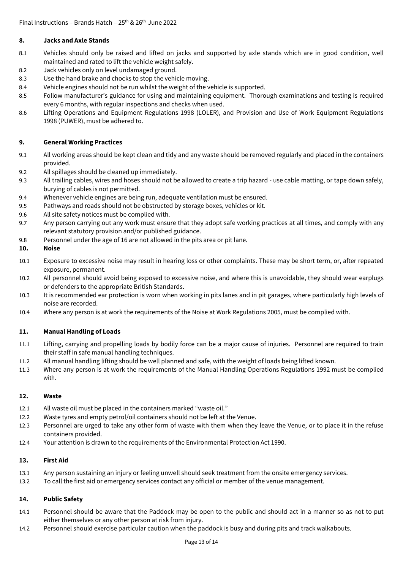## **8. Jacks and Axle Stands**

- 8.1 Vehicles should only be raised and lifted on jacks and supported by axle stands which are in good condition, well maintained and rated to lift the vehicle weight safely.
- 8.2 Jack vehicles only on level undamaged ground.
- 8.3 Use the hand brake and chocks to stop the vehicle moving.
- 8.4 Vehicle engines should not be run whilst the weight of the vehicle is supported.
- 8.5 Follow manufacturer's guidance for using and maintaining equipment. Thorough examinations and testing is required every 6 months, with regular inspections and checks when used.
- 8.6 Lifting Operations and Equipment Regulations 1998 (LOLER), and Provision and Use of Work Equipment Regulations 1998 (PUWER), must be adhered to.

### **9. General Working Practices**

- 9.1 All working areas should be kept clean and tidy and any waste should be removed regularly and placed in the containers provided.
- 9.2 All spillages should be cleaned up immediately.
- 9.3 All trailing cables, wires and hoses should not be allowed to create a trip hazard use cable matting, or tape down safely, burying of cables is not permitted.
- 9.4 Whenever vehicle engines are being run, adequate ventilation must be ensured.
- 9.5 Pathways and roads should not be obstructed by storage boxes, vehicles or kit.
- 9.6 All site safety notices must be complied with.
- 9.7 Any person carrying out any work must ensure that they adopt safe working practices at all times, and comply with any relevant statutory provision and/or published guidance.
- 9.8 Personnel under the age of 16 are not allowed in the pits area or pit lane.

### **10. Noise**

- 10.1 Exposure to excessive noise may result in hearing loss or other complaints. These may be short term, or, after repeated exposure, permanent.
- 10.2 All personnel should avoid being exposed to excessive noise, and where this is unavoidable, they should wear earplugs or defenders to the appropriate British Standards.
- 10.3 It is recommended ear protection is worn when working in pits lanes and in pit garages, where particularly high levels of noise are recorded.
- 10.4 Where any person is at work the requirements of the Noise at Work Regulations 2005, must be complied with.

### **11. Manual Handling of Loads**

- 11.1 Lifting, carrying and propelling loads by bodily force can be a major cause of injuries. Personnel are required to train their staff in safe manual handling techniques.
- 11.2 All manual handling lifting should be well planned and safe, with the weight of loads being lifted known.
- 11.3 Where any person is at work the requirements of the Manual Handling Operations Regulations 1992 must be complied with.

### **12. Waste**

- 12.1 All waste oil must be placed in the containers marked "waste oil."
- 12.2 Waste tyres and empty petrol/oil containers should not be left at the Venue.
- 12.3 Personnel are urged to take any other form of waste with them when they leave the Venue, or to place it in the refuse containers provided.
- 12.4 Your attention is drawn to the requirements of the Environmental Protection Act 1990.

### **13. First Aid**

- 13.1 Any person sustaining an injury or feeling unwell should seek treatment from the onsite emergency services.
- 13.2 To call the first aid or emergency services contact any official or member of the venue management.

### **14. Public Safety**

- 14.1 Personnel should be aware that the Paddock may be open to the public and should act in a manner so as not to put either themselves or any other person at risk from injury.
- 14.2 Personnel should exercise particular caution when the paddock is busy and during pits and track walkabouts.